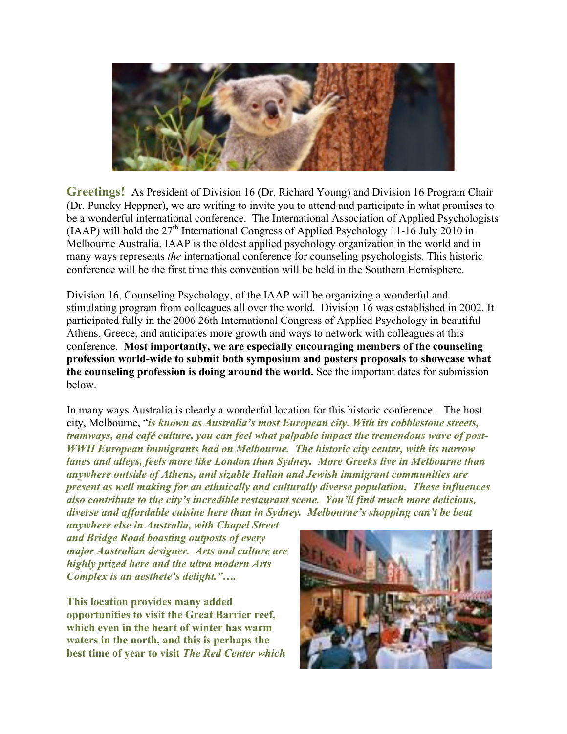

**Greetings!** As President of Division 16 (Dr. Richard Young) and Division 16 Program Chair (Dr. Puncky Heppner), we are writing to invite you to attend and participate in what promises to be a wonderful international conference. The International Association of Applied Psychologists (IAAP) will hold the  $27<sup>th</sup>$  International Congress of Applied Psychology 11-16 July 2010 in Melbourne Australia. IAAP is the oldest applied psychology organization in the world and in many ways represents *the* international conference for counseling psychologists. This historic conference will be the first time this convention will be held in the Southern Hemisphere.

Division 16, Counseling Psychology, of the IAAP will be organizing a wonderful and stimulating program from colleagues all over the world. Division 16 was established in 2002. It participated fully in the 2006 26th International Congress of Applied Psychology in beautiful Athens, Greece, and anticipates more growth and ways to network with colleagues at this conference. **Most importantly, we are especially encouraging members of the counseling profession world-wide to submit both symposium and posters proposals to showcase what the counseling profession is doing around the world.** See the important dates for submission below.

In many ways Australia is clearly a wonderful location for this historic conference. The host city, Melbourne, "*is known as Australia's most European city. With its cobblestone streets, tramways, and café culture, you can feel what palpable impact the tremendous wave of post-WWII European immigrants had on Melbourne. The historic city center, with its narrow lanes and alleys, feels more like London than Sydney. More Greeks live in Melbourne than anywhere outside of Athens, and sizable Italian and Jewish immigrant communities are present as well making for an ethnically and culturally diverse population. These influences also contribute to the city's incredible restaurant scene. You'll find much more delicious, diverse and affordable cuisine here than in Sydney. Melbourne's shopping can't be beat* 

*anywhere else in Australia, with Chapel Street and Bridge Road boasting outposts of every major Australian designer. Arts and culture are highly prized here and the ultra modern Arts Complex is an aesthete's delight."….* 

**This location provides many added opportunities to visit the Great Barrier reef, which even in the heart of winter has warm waters in the north, and this is perhaps the best time of year to visit** *The Red Center which*